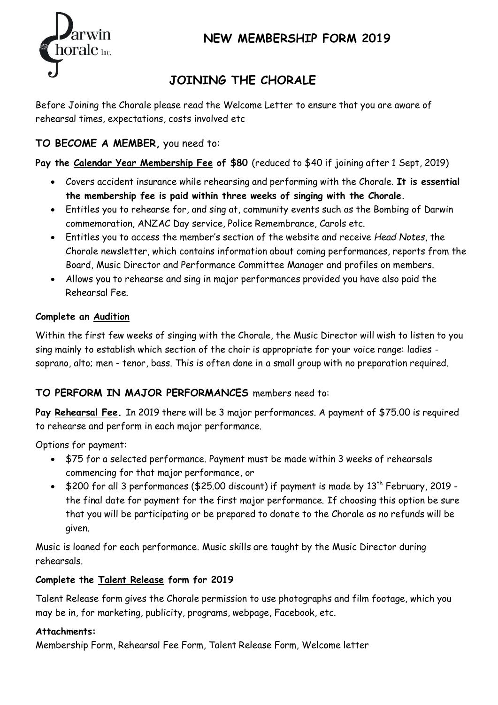

### **NEW MEMBERSHIP FORM 2019**

# **JOINING THE CHORALE**

Before Joining the Chorale please read the Welcome Letter to ensure that you are aware of rehearsal times, expectations, costs involved etc

### **TO BECOME A MEMBER,** you need to:

**Pay the Calendar Year Membership Fee of \$80** (reduced to \$40 if joining after 1 Sept, 2019)

- Covers accident insurance while rehearsing and performing with the Chorale. **It is essential the membership fee is paid within three weeks of singing with the Chorale.**
- Entitles you to rehearse for, and sing at, community events such as the Bombing of Darwin commemoration, ANZAC Day service, Police Remembrance, Carols etc.
- Entitles you to access the member's section of the website and receive *Head Notes*, the Chorale newsletter, which contains information about coming performances, reports from the Board, Music Director and Performance Committee Manager and profiles on members.
- Allows you to rehearse and sing in major performances provided you have also paid the Rehearsal Fee.

#### **Complete an Audition**

Within the first few weeks of singing with the Chorale, the Music Director will wish to listen to you sing mainly to establish which section of the choir is appropriate for your voice range: ladies soprano, alto; men - tenor, bass. This is often done in a small group with no preparation required.

#### **TO PERFORM IN MAJOR PERFORMANCES** members need to:

**Pay Rehearsal Fee.** In 2019 there will be 3 major performances. A payment of \$75.00 is required to rehearse and perform in each major performance.

Options for payment:

- \$75 for a selected performance. Payment must be made within 3 weeks of rehearsals commencing for that major performance, or
- \$200 for all 3 performances (\$25.00 discount) if payment is made by 13<sup>th</sup> February, 2019 the final date for payment for the first major performance. If choosing this option be sure that you will be participating or be prepared to donate to the Chorale as no refunds will be given.

Music is loaned for each performance. Music skills are taught by the Music Director during rehearsals.

#### **Complete the Talent Release form for 2019**

Talent Release form gives the Chorale permission to use photographs and film footage, which you may be in, for marketing, publicity, programs, webpage, Facebook, etc.

#### **Attachments:**

Membership Form, Rehearsal Fee Form, Talent Release Form, Welcome letter